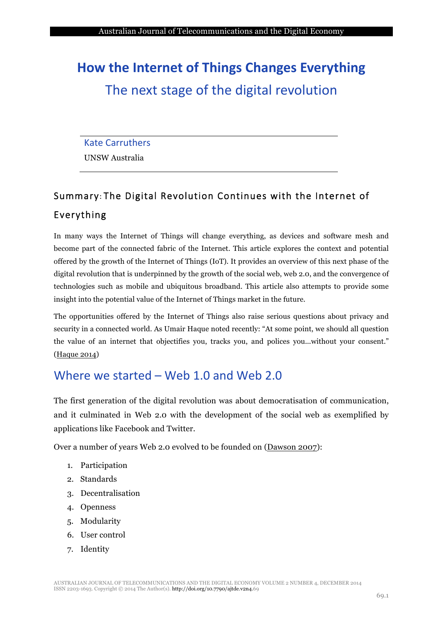# **How the Internet of Things Changes Everything** The next stage of the digital revolution

#### **Kate Carruthers**

UNSW Australia

# Summary: The Digital Revolution Continues with the Internet of Everything

In many ways the Internet of Things will change everything, as devices and software mesh and become part of the connected fabric of the Internet. This article explores the context and potential offered by the growth of the Internet of Things (IoT). It provides an overview of this next phase of the digital revolution that is underpinned by the growth of the social web, web 2.0, and the convergence of technologies such as mobile and ubiquitous broadband. This article also attempts to provide some insight into the potential value of the Internet of Things market in the future.

The opportunities offered by the Internet of Things also raise serious questions about privacy and security in a connected world. As Umair Haque noted recently: "At some point, we should all question the value of an internet that objectifies you, tracks you, and polices you...without your consent." (Haque 2014)

# Where we started – Web 1.0 and Web 2.0

The first generation of the digital revolution was about democratisation of communication, and it culminated in Web 2.0 with the development of the social web as exemplified by applications like Facebook and Twitter.

Over a number of years Web 2.0 evolved to be founded on (Dawson 2007):

- 1. Participation
- 2. Standards
- 3. Decentralisation
- 4. Openness
- 5. Modularity
- 6. User control
- 7. Identity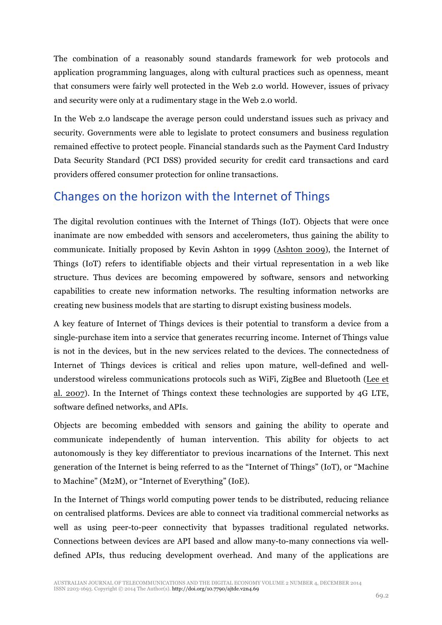The combination of a reasonably sound standards framework for web protocols and application programming languages, along with cultural practices such as openness, meant that consumers were fairly well protected in the Web 2.0 world. However, issues of privacy and security were only at a rudimentary stage in the Web 2.0 world.

In the Web 2.0 landscape the average person could understand issues such as privacy and security. Governments were able to legislate to protect consumers and business regulation remained effective to protect people. Financial standards such as the Payment Card Industry Data Security Standard (PCI DSS) provided security for credit card transactions and card providers offered consumer protection for online transactions.

# Changes on the horizon with the Internet of Things

The digital revolution continues with the Internet of Things (IoT). Objects that were once inanimate are now embedded with sensors and accelerometers, thus gaining the ability to communicate. Initially proposed by Kevin Ashton in 1999 (Ashton 2009), the Internet of Things (IoT) refers to identifiable objects and their virtual representation in a web like structure. Thus devices are becoming empowered by software, sensors and networking capabilities to create new information networks. The resulting information networks are creating new business models that are starting to disrupt existing business models.

A key feature of Internet of Things devices is their potential to transform a device from a single-purchase item into a service that generates recurring income. Internet of Things value is not in the devices, but in the new services related to the devices. The connectedness of Internet of Things devices is critical and relies upon mature, well-defined and wellunderstood wireless communications protocols such as WiFi, ZigBee and Bluetooth (Lee et al. 2007). In the Internet of Things context these technologies are supported by 4G LTE, software defined networks, and APIs.

Objects are becoming embedded with sensors and gaining the ability to operate and communicate independently of human intervention. This ability for objects to act autonomously is they key differentiator to previous incarnations of the Internet. This next generation of the Internet is being referred to as the "Internet of Things" (IoT), or "Machine to Machine" (M2M), or "Internet of Everything" (IoE).

In the Internet of Things world computing power tends to be distributed, reducing reliance on centralised platforms. Devices are able to connect via traditional commercial networks as well as using peer-to-peer connectivity that bypasses traditional regulated networks. Connections between devices are API based and allow many-to-many connections via welldefined APIs, thus reducing development overhead. And many of the applications are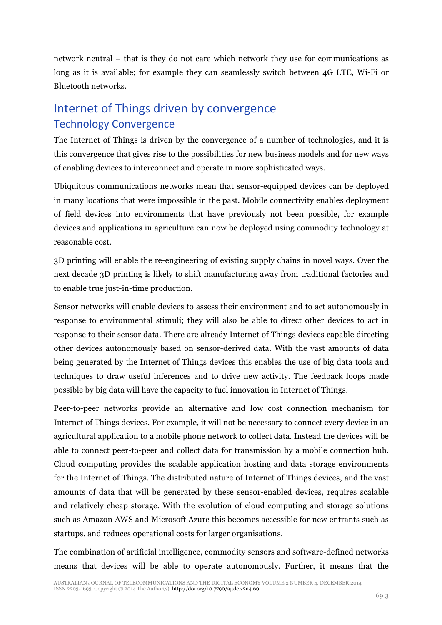network neutral – that is they do not care which network they use for communications as long as it is available; for example they can seamlessly switch between 4G LTE, Wi-Fi or Bluetooth networks.

# Internet of Things driven by convergence Technology Convergence

The Internet of Things is driven by the convergence of a number of technologies, and it is this convergence that gives rise to the possibilities for new business models and for new ways of enabling devices to interconnect and operate in more sophisticated ways.

Ubiquitous communications networks mean that sensor-equipped devices can be deployed in many locations that were impossible in the past. Mobile connectivity enables deployment of field devices into environments that have previously not been possible, for example devices and applications in agriculture can now be deployed using commodity technology at reasonable cost.

3D printing will enable the re-engineering of existing supply chains in novel ways. Over the next decade 3D printing is likely to shift manufacturing away from traditional factories and to enable true just-in-time production.

Sensor networks will enable devices to assess their environment and to act autonomously in response to environmental stimuli; they will also be able to direct other devices to act in response to their sensor data. There are already Internet of Things devices capable directing other devices autonomously based on sensor-derived data. With the vast amounts of data being generated by the Internet of Things devices this enables the use of big data tools and techniques to draw useful inferences and to drive new activity. The feedback loops made possible by big data will have the capacity to fuel innovation in Internet of Things.

Peer-to-peer networks provide an alternative and low cost connection mechanism for Internet of Things devices. For example, it will not be necessary to connect every device in an agricultural application to a mobile phone network to collect data. Instead the devices will be able to connect peer-to-peer and collect data for transmission by a mobile connection hub. Cloud computing provides the scalable application hosting and data storage environments for the Internet of Things. The distributed nature of Internet of Things devices, and the vast amounts of data that will be generated by these sensor-enabled devices, requires scalable and relatively cheap storage. With the evolution of cloud computing and storage solutions such as Amazon AWS and Microsoft Azure this becomes accessible for new entrants such as startups, and reduces operational costs for larger organisations.

The combination of artificial intelligence, commodity sensors and software-defined networks means that devices will be able to operate autonomously. Further, it means that the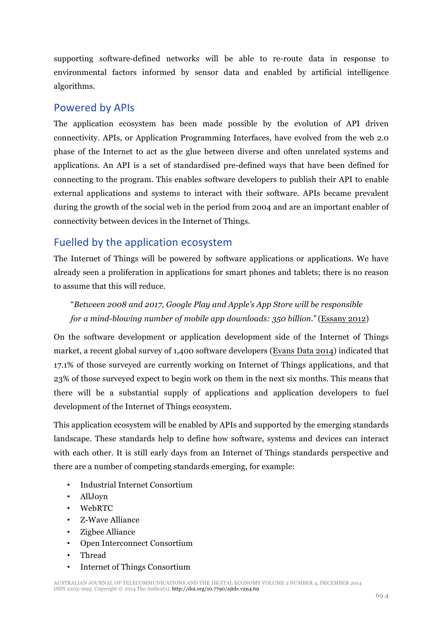supporting software-defined networks will be able to re-route data in response to environmental factors informed by sensor data and enabled by artificial intelligence algorithms.

#### Powered by APIs

The application ecosystem has been made possible by the evolution of API driven connectivity. APIs, or Application Programming Interfaces, have evolved from the web 2.0 phase of the Internet to act as the glue between diverse and often unrelated systems and applications. An API is a set of standardised pre-defined ways that have been defined for connecting to the program. This enables software developers to publish their API to enable external applications and systems to interact with their software. APIs became prevalent during the growth of the social web in the period from 2004 and are an important enabler of connectivity between devices in the Internet of Things.

### Fuelled by the application ecosystem

The Internet of Things will be powered by software applications or applications. We have already seen a proliferation in applications for smart phones and tablets; there is no reason to assume that this will reduce.

"*Between 2008 and 2017, Google Play and Apple's App Store will be responsible for a mind-blowing number of mobile app downloads: 350 billion*." (Essany 2012)

On the software development or application development side of the Internet of Things market, a recent global survey of 1,400 software developers (Evans Data 2014) indicated that 17.1% of those surveyed are currently working on Internet of Things applications, and that 23% of those surveyed expect to begin work on them in the next six months. This means that there will be a substantial supply of applications and application developers to fuel development of the Internet of Things ecosystem.

This application ecosystem will be enabled by APIs and supported by the emerging standards landscape. These standards help to define how software, systems and devices can interact with each other. It is still early days from an Internet of Things standards perspective and there are a number of competing standards emerging, for example:

- Industrial Internet Consortium
- AllJoyn
- WebRTC
- Z-Wave Alliance
- Zigbee Alliance
- Open Interconnect Consortium
- Thread
- Internet of Things Consortium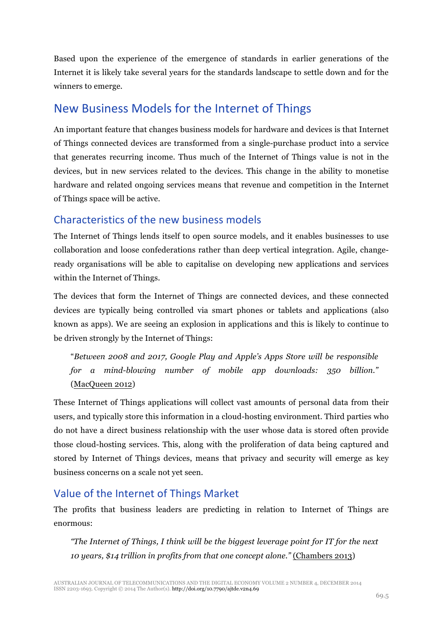Based upon the experience of the emergence of standards in earlier generations of the Internet it is likely take several years for the standards landscape to settle down and for the winners to emerge.

# New Business Models for the Internet of Things

An important feature that changes business models for hardware and devices is that Internet of Things connected devices are transformed from a single-purchase product into a service that generates recurring income. Thus much of the Internet of Things value is not in the devices, but in new services related to the devices. This change in the ability to monetise hardware and related ongoing services means that revenue and competition in the Internet of Things space will be active.

### Characteristics of the new business models

The Internet of Things lends itself to open source models, and it enables businesses to use collaboration and loose confederations rather than deep vertical integration. Agile, changeready organisations will be able to capitalise on developing new applications and services within the Internet of Things.

The devices that form the Internet of Things are connected devices, and these connected devices are typically being controlled via smart phones or tablets and applications (also known as apps). We are seeing an explosion in applications and this is likely to continue to be driven strongly by the Internet of Things:

"*Between 2008 and 2017, Google Play and Apple's Apps Store will be responsible for a mind-blowing number of mobile app downloads: 350 billion."* (MacQueen 2012)

These Internet of Things applications will collect vast amounts of personal data from their users, and typically store this information in a cloud-hosting environment. Third parties who do not have a direct business relationship with the user whose data is stored often provide those cloud-hosting services. This, along with the proliferation of data being captured and stored by Internet of Things devices, means that privacy and security will emerge as key business concerns on a scale not yet seen.

## Value of the Internet of Things Market

The profits that business leaders are predicting in relation to Internet of Things are enormous:

*"The Internet of Things, I think will be the biggest leverage point for IT for the next 10 years, \$14 trillion in profits from that one concept alone."* (Chambers 2013)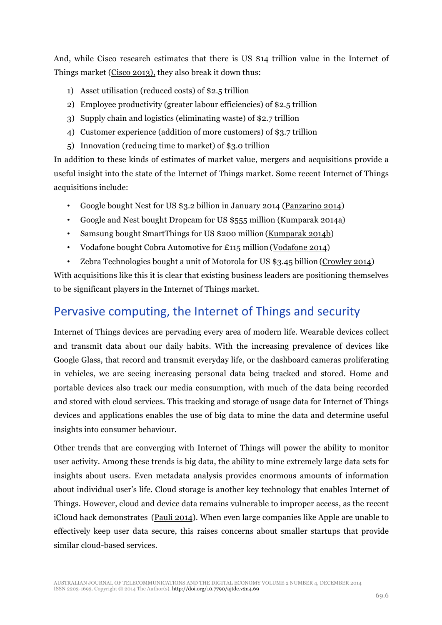And, while Cisco research estimates that there is US \$14 trillion value in the Internet of Things market (Cisco 2013), they also break it down thus:

- 1) Asset utilisation (reduced costs) of \$2.5 trillion
- 2) Employee productivity (greater labour efficiencies) of \$2.5 trillion
- 3) Supply chain and logistics (eliminating waste) of \$2.7 trillion
- 4) Customer experience (addition of more customers) of \$3.7 trillion
- 5) Innovation (reducing time to market) of \$3.0 trillion

In addition to these kinds of estimates of market value, mergers and acquisitions provide a useful insight into the state of the Internet of Things market. Some recent Internet of Things acquisitions include:

- Google bought Nest for US \$3.2 billion in January 2014 (Panzarino 2014)
- Google and Nest bought Dropcam for US \$555 million (Kumparak 2014a)
- Samsung bought SmartThings for US \$200 million (Kumparak 2014b)
- Vodafone bought Cobra Automotive for £115 million (Vodafone 2014)
- Zebra Technologies bought a unit of Motorola for US \$3.45 billion (Crowley 2014)

With acquisitions like this it is clear that existing business leaders are positioning themselves to be significant players in the Internet of Things market.

#### Pervasive computing, the Internet of Things and security

Internet of Things devices are pervading every area of modern life. Wearable devices collect and transmit data about our daily habits. With the increasing prevalence of devices like Google Glass, that record and transmit everyday life, or the dashboard cameras proliferating in vehicles, we are seeing increasing personal data being tracked and stored. Home and portable devices also track our media consumption, with much of the data being recorded and stored with cloud services. This tracking and storage of usage data for Internet of Things devices and applications enables the use of big data to mine the data and determine useful insights into consumer behaviour.

Other trends that are converging with Internet of Things will power the ability to monitor user activity. Among these trends is big data, the ability to mine extremely large data sets for insights about users. Even metadata analysis provides enormous amounts of information about individual user's life. Cloud storage is another key technology that enables Internet of Things. However, cloud and device data remains vulnerable to improper access, as the recent iCloud hack demonstrates (Pauli 2014). When even large companies like Apple are unable to effectively keep user data secure, this raises concerns about smaller startups that provide similar cloud-based services.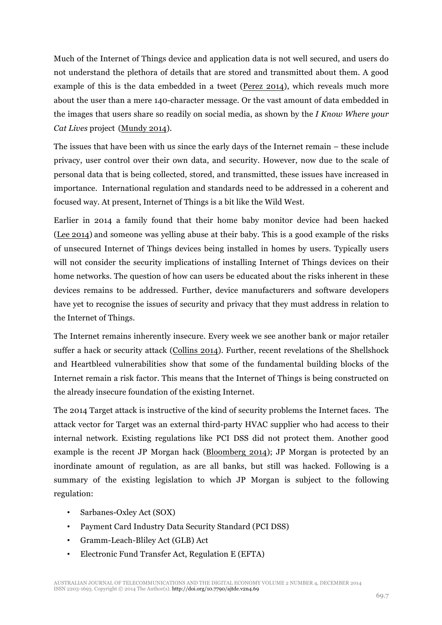Much of the Internet of Things device and application data is not well secured, and users do not understand the plethora of details that are stored and transmitted about them. A good example of this is the data embedded in a tweet (Perez 2014), which reveals much more about the user than a mere 140-character message. Or the vast amount of data embedded in the images that users share so readily on social media, as shown by the *I Know Where your Cat Lives* project (Mundy 2014).

The issues that have been with us since the early days of the Internet remain – these include privacy, user control over their own data, and security. However, now due to the scale of personal data that is being collected, stored, and transmitted, these issues have increased in importance. International regulation and standards need to be addressed in a coherent and focused way. At present, Internet of Things is a bit like the Wild West.

Earlier in 2014 a family found that their home baby monitor device had been hacked (Lee 2014) and someone was yelling abuse at their baby. This is a good example of the risks of unsecured Internet of Things devices being installed in homes by users. Typically users will not consider the security implications of installing Internet of Things devices on their home networks. The question of how can users be educated about the risks inherent in these devices remains to be addressed. Further, device manufacturers and software developers have yet to recognise the issues of security and privacy that they must address in relation to the Internet of Things.

The Internet remains inherently insecure. Every week we see another bank or major retailer suffer a hack or security attack (Collins 2014). Further, recent revelations of the Shellshock and Heartbleed vulnerabilities show that some of the fundamental building blocks of the Internet remain a risk factor. This means that the Internet of Things is being constructed on the already insecure foundation of the existing Internet.

The 2014 Target attack is instructive of the kind of security problems the Internet faces. The attack vector for Target was an external third-party HVAC supplier who had access to their internal network. Existing regulations like PCI DSS did not protect them. Another good example is the recent JP Morgan hack (Bloomberg 2014); JP Morgan is protected by an inordinate amount of regulation, as are all banks, but still was hacked. Following is a summary of the existing legislation to which JP Morgan is subject to the following regulation:

- Sarbanes-Oxley Act (SOX)
- Payment Card Industry Data Security Standard (PCI DSS)
- Gramm-Leach-Bliley Act (GLB) Act
- Electronic Fund Transfer Act, Regulation E (EFTA)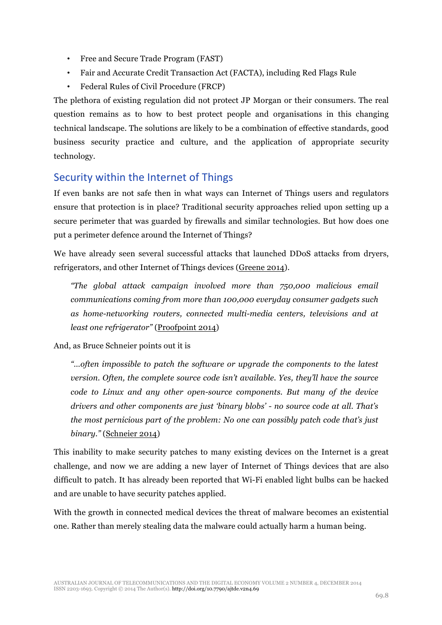- Free and Secure Trade Program (FAST)
- Fair and Accurate Credit Transaction Act (FACTA), including Red Flags Rule
- Federal Rules of Civil Procedure (FRCP)

The plethora of existing regulation did not protect JP Morgan or their consumers. The real question remains as to how to best protect people and organisations in this changing technical landscape. The solutions are likely to be a combination of effective standards, good business security practice and culture, and the application of appropriate security technology.

#### Security within the Internet of Things

If even banks are not safe then in what ways can Internet of Things users and regulators ensure that protection is in place? Traditional security approaches relied upon setting up a secure perimeter that was guarded by firewalls and similar technologies. But how does one put a perimeter defence around the Internet of Things?

We have already seen several successful attacks that launched DDoS attacks from dryers, refrigerators, and other Internet of Things devices (Greene 2014).

*"The global attack campaign involved more than 750,000 malicious email communications coming from more than 100,000 everyday consumer gadgets such as home-networking routers, connected multi-media centers, televisions and at least one refrigerator"* (Proofpoint 2014)

And, as Bruce Schneier points out it is

*"…often impossible to patch the software or upgrade the components to the latest version. Often, the complete source code isn't available. Yes, they'll have the source code to Linux and any other open-source components. But many of the device drivers and other components are just 'binary blobs' - no source code at all. That's the most pernicious part of the problem: No one can possibly patch code that's just binary."* (Schneier 2014)

This inability to make security patches to many existing devices on the Internet is a great challenge, and now we are adding a new layer of Internet of Things devices that are also difficult to patch. It has already been reported that Wi-Fi enabled light bulbs can be hacked and are unable to have security patches applied.

With the growth in connected medical devices the threat of malware becomes an existential one. Rather than merely stealing data the malware could actually harm a human being.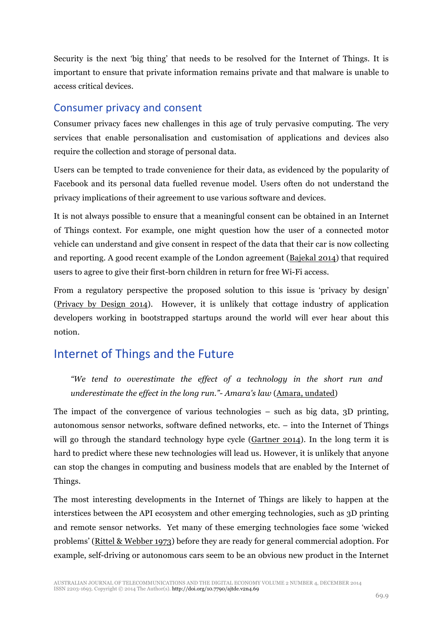Security is the next 'big thing' that needs to be resolved for the Internet of Things. It is important to ensure that private information remains private and that malware is unable to access critical devices.

#### Consumer privacy and consent

Consumer privacy faces new challenges in this age of truly pervasive computing. The very services that enable personalisation and customisation of applications and devices also require the collection and storage of personal data.

Users can be tempted to trade convenience for their data, as evidenced by the popularity of Facebook and its personal data fuelled revenue model. Users often do not understand the privacy implications of their agreement to use various software and devices.

It is not always possible to ensure that a meaningful consent can be obtained in an Internet of Things context. For example, one might question how the user of a connected motor vehicle can understand and give consent in respect of the data that their car is now collecting and reporting. A good recent example of the London agreement (Bajekal 2014) that required users to agree to give their first-born children in return for free Wi-Fi access.

From a regulatory perspective the proposed solution to this issue is 'privacy by design' (Privacy by Design 2014). However, it is unlikely that cottage industry of application developers working in bootstrapped startups around the world will ever hear about this notion.

# Internet of Things and the Future

*"We tend to overestimate the effect of a technology in the short run and underestimate the effect in the long run."- Amara's law* (Amara, undated)

The impact of the convergence of various technologies – such as big data, 3D printing, autonomous sensor networks, software defined networks, etc. – into the Internet of Things will go through the standard technology hype cycle (Gartner 2014). In the long term it is hard to predict where these new technologies will lead us. However, it is unlikely that anyone can stop the changes in computing and business models that are enabled by the Internet of Things.

The most interesting developments in the Internet of Things are likely to happen at the interstices between the API ecosystem and other emerging technologies, such as 3D printing and remote sensor networks. Yet many of these emerging technologies face some 'wicked problems' (Rittel & Webber 1973) before they are ready for general commercial adoption. For example, self-driving or autonomous cars seem to be an obvious new product in the Internet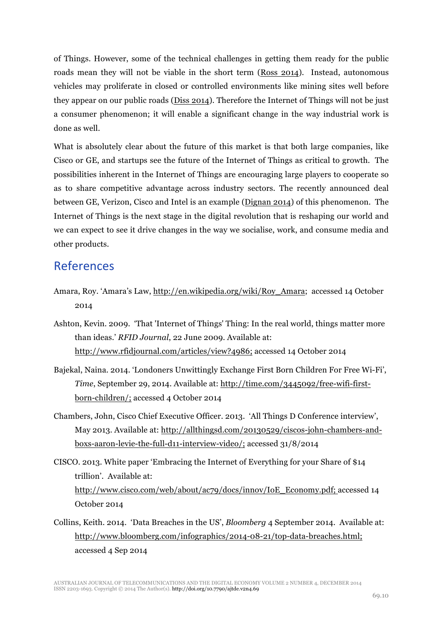of Things. However, some of the technical challenges in getting them ready for the public roads mean they will not be viable in the short term (Ross 2014). Instead, autonomous vehicles may proliferate in closed or controlled environments like mining sites well before they appear on our public roads (Diss 2014). Therefore the Internet of Things will not be just a consumer phenomenon; it will enable a significant change in the way industrial work is done as well.

What is absolutely clear about the future of this market is that both large companies, like Cisco or GE, and startups see the future of the Internet of Things as critical to growth. The possibilities inherent in the Internet of Things are encouraging large players to cooperate so as to share competitive advantage across industry sectors. The recently announced deal between GE, Verizon, Cisco and Intel is an example (Dignan 2014) of this phenomenon. The Internet of Things is the next stage in the digital revolution that is reshaping our world and we can expect to see it drive changes in the way we socialise, work, and consume media and other products.

## References

- Amara, Roy. 'Amara's Law, http://en.wikipedia.org/wiki/Roy\_Amara; accessed 14 October 2014
- Ashton, Kevin. 2009. 'That 'Internet of Things' Thing: In the real world, things matter more than ideas.' *RFID Journal*, 22 June 2009. Available at: http://www.rfidjournal.com/articles/view?4986; accessed 14 October 2014
- Bajekal, Naina. 2014. 'Londoners Unwittingly Exchange First Born Children For Free Wi-Fi', *Time*, September 29, 2014. Available at: http://time.com/3445092/free-wifi-firstborn-children/; accessed 4 October 2014
- Chambers, John, Cisco Chief Executive Officer. 2013. 'All Things D Conference interview', May 2013. Available at: http://allthingsd.com/20130529/ciscos-john-chambers-andboxs-aaron-levie-the-full-d11-interview-video/; accessed 31/8/2014
- CISCO. 2013. White paper 'Embracing the Internet of Everything for your Share of \$14 trillion'. Available at: http://www.cisco.com/web/about/ac79/docs/innov/IoE\_Economy.pdf; accessed 14 October 2014
- Collins, Keith. 2014. 'Data Breaches in the US', *Bloomberg* 4 September 2014. Available at: http://www.bloomberg.com/infographics/2014-08-21/top-data-breaches.html; accessed 4 Sep 2014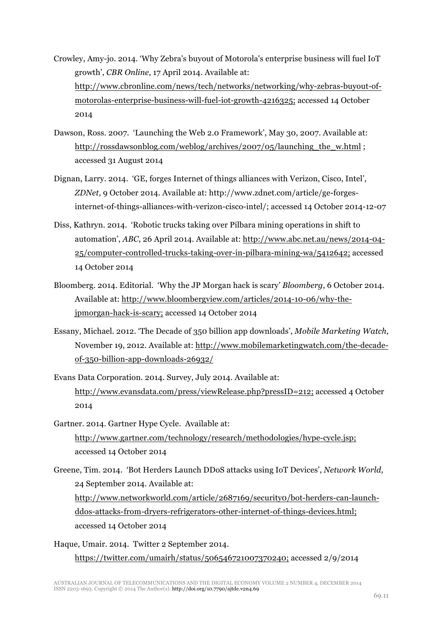- Crowley, Amy-jo. 2014. 'Why Zebra's buyout of Motorola's enterprise business will fuel IoT growth', *CBR Online*, 17 April 2014. Available at: http://www.cbronline.com/news/tech/networks/networking/why-zebras-buyout-ofmotorolas-enterprise-business-will-fuel-iot-growth-4216325; accessed 14 October 2014
- Dawson, Ross. 2007. 'Launching the Web 2.0 Framework', May 30, 2007. Available at: http://rossdawsonblog.com/weblog/archives/2007/05/launching the w.html; accessed 31 August 2014
- Dignan, Larry. 2014. 'GE, forges Internet of things alliances with Verizon, Cisco, Intel', *ZDNet*, 9 October 2014. Available at: http://www.zdnet.com/article/ge-forgesinternet-of-things-alliances-with-verizon-cisco-intel/; accessed 14 October 2014-12-07
- Diss, Kathryn. 2014. 'Robotic trucks taking over Pilbara mining operations in shift to automation', *ABC*, 26 April 2014. Available at: http://www.abc.net.au/news/2014-04- 25/computer-controlled-trucks-taking-over-in-pilbara-mining-wa/5412642; accessed 14 October 2014
- Bloomberg. 2014. Editorial. 'Why the JP Morgan hack is scary' *Bloomberg*, 6 October 2014. Available at: http://www.bloombergview.com/articles/2014-10-06/why-thejpmorgan-hack-is-scary; accessed 14 October 2014
- Essany, Michael. 2012. 'The Decade of 350 billion app downloads', *Mobile Marketing Watch*, November 19, 2012. Available at: http://www.mobilemarketingwatch.com/the-decadeof-350-billion-app-downloads-26932/
- Evans Data Corporation. 2014. Survey, July 2014. Available at: http://www.evansdata.com/press/viewRelease.php?pressID=212; accessed 4 October 2014
- Gartner. 2014. Gartner Hype Cycle. Available at: http://www.gartner.com/technology/research/methodologies/hype-cycle.jsp; accessed 14 October 2014
- Greene, Tim. 2014. 'Bot Herders Launch DDoS attacks using IoT Devices', *Network World*, 24 September 2014. Available at: http://www.networkworld.com/article/2687169/security0/bot-herders-can-launchddos-attacks-from-dryers-refrigerators-other-internet-of-things-devices.html; accessed 14 October 2014

Haque, Umair. 2014. Twitter 2 September 2014. https://twitter.com/umairh/status/506546721007370240; accessed 2/9/2014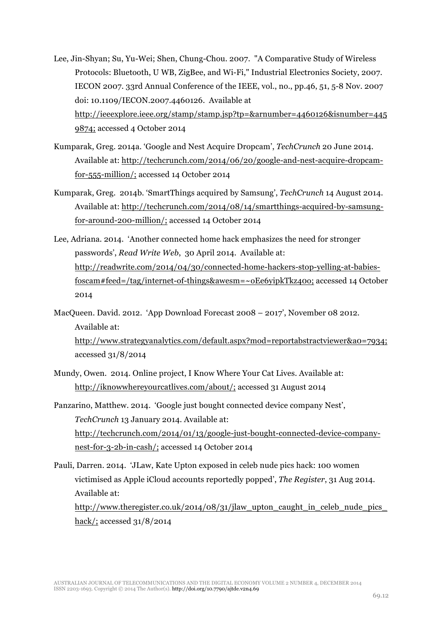- Lee, Jin-Shyan; Su, Yu-Wei; Shen, Chung-Chou. 2007. "A Comparative Study of Wireless Protocols: Bluetooth, U WB, ZigBee, and Wi-Fi," Industrial Electronics Society, 2007. IECON 2007. 33rd Annual Conference of the IEEE, vol., no., pp.46, 51, 5-8 Nov. 2007 doi: 10.1109/IECON.2007.4460126. Available at http://ieeexplore.ieee.org/stamp/stamp.jsp?tp=&arnumber=4460126&isnumber=445 9874; accessed 4 October 2014
- Kumparak, Greg. 2014a. 'Google and Nest Acquire Dropcam', *TechCrunch* 20 June 2014. Available at: http://techcrunch.com/2014/06/20/google-and-nest-acquire-dropcamfor-555-million/; accessed 14 October 2014
- Kumparak, Greg. 2014b. 'SmartThings acquired by Samsung', *TechCrunch* 14 August 2014. Available at: http://techcrunch.com/2014/08/14/smartthings-acquired-by-samsungfor-around-200-million/; accessed 14 October 2014
- Lee, Adriana. 2014. 'Another connected home hack emphasizes the need for stronger passwords', *Read Write Web*, 30 April 2014. Available at: http://readwrite.com/2014/04/30/connected-home-hackers-stop-yelling-at-babiesfoscam#feed=/tag/internet-of-things&awesm=~oEe6yipkTkz40o; accessed 14 October 2014
- MacQueen. David. 2012. 'App Download Forecast 2008 2017', November 08 2012. Available at: http://www.strategyanalytics.com/default.aspx?mod=reportabstractviewer&a0=7934;
	- accessed 31/8/2014
- Mundy, Owen. 2014. Online project, I Know Where Your Cat Lives. Available at: http://iknowwhereyourcatlives.com/about/; accessed 31 August 2014
- Panzarino, Matthew. 2014. 'Google just bought connected device company Nest', *TechCrunch* 13 January 2014. Available at: http://techcrunch.com/2014/01/13/google-just-bought-connected-device-companynest-for-3-2b-in-cash/; accessed 14 October 2014
- Pauli, Darren. 2014. 'JLaw, Kate Upton exposed in celeb nude pics hack: 100 women victimised as Apple iCloud accounts reportedly popped', *The Register*, 31 Aug 2014. Available at: http://www.theregister.co.uk/2014/08/31/jlaw\_upton\_caught\_in\_celeb\_nude\_pics hack/; accessed 31/8/2014